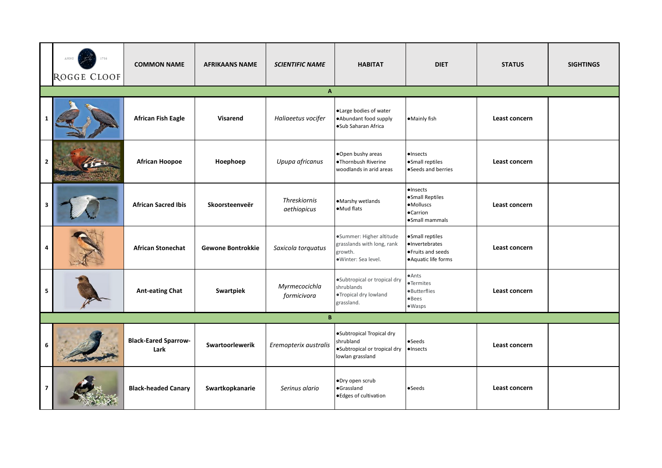|                         | ANNO<br>ROGGE CLOOF | <b>COMMON NAME</b>                  | <b>AFRIKAANS NAME</b> | <b>SCIENTIFIC NAME</b>       | <b>HABITAT</b>                                                                             | <b>DIET</b>                                                                    | <b>STATUS</b> | <b>SIGHTINGS</b> |  |  |  |
|-------------------------|---------------------|-------------------------------------|-----------------------|------------------------------|--------------------------------------------------------------------------------------------|--------------------------------------------------------------------------------|---------------|------------------|--|--|--|
|                         | $\mathbf{A}$        |                                     |                       |                              |                                                                                            |                                                                                |               |                  |  |  |  |
|                         |                     | <b>African Fish Eagle</b>           | <b>Visarend</b>       | Haliaeetus vocifer           | ·Large bodies of water<br>·Abundant food supply<br>·Sub Saharan Africa                     | •Mainly fish                                                                   | Least concern |                  |  |  |  |
| $\overline{2}$          |                     | <b>African Hoopoe</b>               | Hoephoep              | Upupa africanus              | .Open bushy areas<br>·Thornbush Riverine<br>woodlands in arid areas                        | $\bullet$ Insects<br>·Small reptiles<br>•Seeds and berries                     | Least concern |                  |  |  |  |
| $\overline{\mathbf{3}}$ |                     | <b>African Sacred Ibis</b>          | Skoorsteenveër        | Threskiornis<br>aethiopicus  | ·Marshy wetlands<br>•Mud flats                                                             | ·Insects<br>·Small Reptiles<br>·Molluscs<br><b>•Carrion</b><br>·Small mammals  | Least concern |                  |  |  |  |
| 4                       |                     | <b>African Stonechat</b>            | Gewone Bontrokkie     | Saxicola torquatus           | ·Summer: Higher altitude<br>grasslands with long, rank<br>growth.<br>·Winter: Sea level.   | ·Small reptiles<br>·Invertebrates<br>●Fruits and seeds<br>• Aquatic life forms | Least concern |                  |  |  |  |
| 5                       |                     | <b>Ant-eating Chat</b>              | Swartpiek             | Myrmecocichla<br>formicivora | ·Subtropical or tropical dry<br>shrublands<br>●Tropical dry lowland<br>grassland.          | $\bullet$ Ants<br>·Termites<br>·Butterflies<br>•Bees<br>$\bullet$ Wasps        | Least concern |                  |  |  |  |
|                         |                     |                                     |                       | B                            |                                                                                            |                                                                                |               |                  |  |  |  |
| 6                       |                     | <b>Black-Eared Sparrow-</b><br>Lark | Swartoorlewerik       | Eremopterix australis        | ·Subtropical Tropical dry<br>shrubland<br>·Subtropical or tropical dry<br>lowlan grassland | $\bullet$ Seeds<br>·Insects                                                    | Least concern |                  |  |  |  |
| 7                       |                     | <b>Black-headed Canary</b>          | Swartkopkanarie       | Serinus alario               | ·Dry open scrub<br>·Grassland<br>● Edges of cultivation                                    | •Seeds                                                                         | Least concern |                  |  |  |  |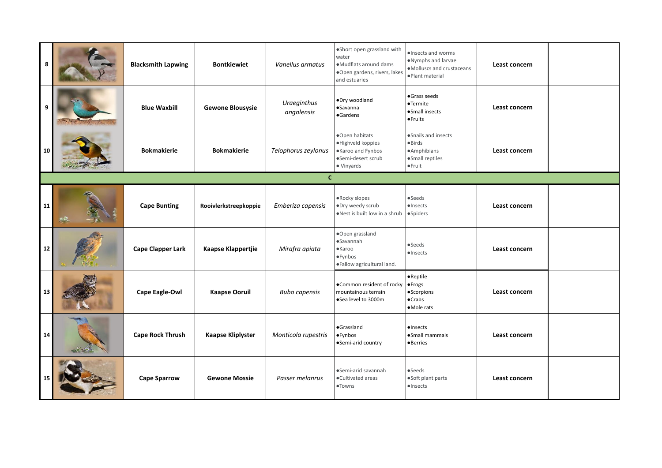| 8          |   | <b>Blacksmith Lapwing</b> | <b>Bontkiewiet</b>       | Vanellus armatus          | ·Short open grassland with<br>water<br>·Mudflats around dams<br>·Open gardens, rivers, lakes<br>and estuaries | ·Insects and worms<br>. Nymphs and larvae<br>·Molluscs and crustaceans<br>·Plant material | Least concern |  |  |  |  |
|------------|---|---------------------------|--------------------------|---------------------------|---------------------------------------------------------------------------------------------------------------|-------------------------------------------------------------------------------------------|---------------|--|--|--|--|
| 9          |   | <b>Blue Waxbill</b>       | <b>Gewone Blousysie</b>  | Uraeginthus<br>angolensis | ·Dry woodland<br>·Savanna<br>·Gardens                                                                         | ·Grass seeds<br>•Termite<br>·Small insects<br><b>•Fruits</b>                              | Least concern |  |  |  |  |
| 10         |   | <b>Bokmakierie</b>        | <b>Bokmakierie</b>       | Telophorus zeylonus       | ·Open habitats<br>·Highveld koppies<br>·Karoo and Fynbos<br>·Semi-desert scrub<br>· Vinyards                  | ·Snails and insects<br>$\bullet$ Birds<br>·Amphibians<br>·Small reptiles<br>●Fruit        | Least concern |  |  |  |  |
|            | c |                           |                          |                           |                                                                                                               |                                                                                           |               |  |  |  |  |
| ${\bf 11}$ |   | <b>Cape Bunting</b>       | Rooivlerkstreepkoppie    | Emberiza capensis         | .Rocky slopes<br>·Dry weedy scrub<br>.Nest is built low in a shrub                                            | •Seeds<br>$\bullet$ Insects<br>·Spiders                                                   | Least concern |  |  |  |  |
| ${\bf 12}$ |   | <b>Cape Clapper Lark</b>  | Kaapse Klappertjie       | Mirafra apiata            | ·Open grassland<br>·Savannah<br>$\bullet$ Karoo<br>·Fynbos<br>·Fallow agricultural land.                      | •Seeds<br>$\bullet$ Insects                                                               | Least concern |  |  |  |  |
| 13         |   | Cape Eagle-Owl            | <b>Kaapse Ooruil</b>     | <b>Bubo capensis</b>      | .Common resident of rocky<br>mountainous terrain<br>·Sea level to 3000m                                       | ·Reptile<br><b>•Frogs</b><br>·Scorpions<br>$\bullet$ Crabs<br>•Mole rats                  | Least concern |  |  |  |  |
| 14         |   | <b>Cape Rock Thrush</b>   | <b>Kaapse Kliplyster</b> | Monticola rupestris       | ·Grassland<br>·Fynbos<br>•Semi-arid country                                                                   | ·Insects<br>·Small mammals<br><b>•Berries</b>                                             | Least concern |  |  |  |  |
| 15         |   | <b>Cape Sparrow</b>       | <b>Gewone Mossie</b>     | Passer melanrus           | •Semi-arid savannah<br>·Cultivated areas<br>·Towns                                                            | $\bullet$ Seeds<br>·Soft plant parts<br>·Insects                                          | Least concern |  |  |  |  |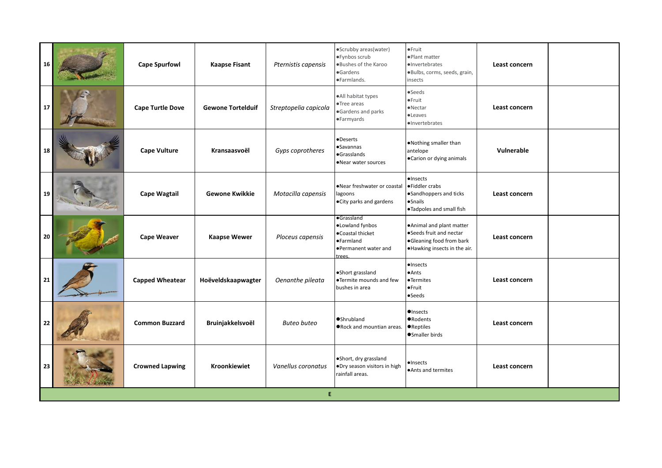| 16 | <b>Cape Spurfowl</b>    | <b>Kaapse Fisant</b>     | Pternistis capensis   | ·Scrubby areas(water)<br>·Fynbos scrub<br>. Bushes of the Karoo<br>·Gardens<br>·Farmlands.       | $•$ Fruit<br>·Plant matter<br>·Invertebrates<br>·Bulbs, corms, seeds, grain,<br>insects                           | Least concern |  |
|----|-------------------------|--------------------------|-----------------------|--------------------------------------------------------------------------------------------------|-------------------------------------------------------------------------------------------------------------------|---------------|--|
| 17 | <b>Cape Turtle Dove</b> | <b>Gewone Tortelduif</b> | Streptopelia capicola | ·All habitat types<br>Tree areas<br>Gardens and parks<br>·Farmyards                              | •Seeds<br>●Fruit<br>$\bullet$ Nectar<br>·Leaves<br>·Invertebrates                                                 | Least concern |  |
| 18 | <b>Cape Vulture</b>     | Kransaasvoël             | Gyps coprotheres      | ·Deserts<br>·Savannas<br>·Grasslands<br>•Near water sources                                      | . Nothing smaller than<br>antelope<br>•Carion or dying animals                                                    | Vulnerable    |  |
| 19 | <b>Cape Wagtail</b>     | <b>Gewone Kwikkie</b>    | Motacilla capensis    | .Near freshwater or coastal<br>lagoons<br>·City parks and gardens                                | $\bullet$ Insects<br>•Fiddler crabs<br>·Sandhoppers and ticks<br>·Snails<br>.Tadpoles and small fish              | Least concern |  |
| 20 | <b>Cape Weaver</b>      | <b>Kaapse Wewer</b>      | Ploceus capensis      | ·Grassland<br>·Lowland fynbos<br>●Coastal thicket<br>·Farmland<br>●Permanent water and<br>trees. | . Animal and plant matter<br>·Seeds fruit and nectar<br>•Gleaning food from bark<br>. Hawking insects in the air. | Least concern |  |
| 21 | <b>Capped Wheatear</b>  | Hoëveldskaapwagter       | Oenanthe pileata      | ·Short grassland<br><b>.</b> Termite mounds and few<br>bushes in area                            | $\bullet$ Insects<br>$\bullet$ Ants<br>•Termites<br>$•$ Fruit<br>$\bullet$ Seeds                                  | Least concern |  |
| 22 | <b>Common Buzzard</b>   | Bruinjakkelsvoël         | Buteo buteo           | <b>OShrubland</b><br>●Rock and mountian areas.                                                   | <b>O</b> Insects<br><b>ORodents</b><br><b>•</b> Reptiles<br>●Smaller birds                                        | Least concern |  |
| 23 | <b>Crowned Lapwing</b>  | Kroonkiewiet             | Vanellus coronatus    | ·Short, dry grassland<br>·Dry season visitors in high<br>rainfall areas.                         | ·Insects<br>• Ants and termites                                                                                   | Least concern |  |
|    |                         |                          | E.                    |                                                                                                  |                                                                                                                   |               |  |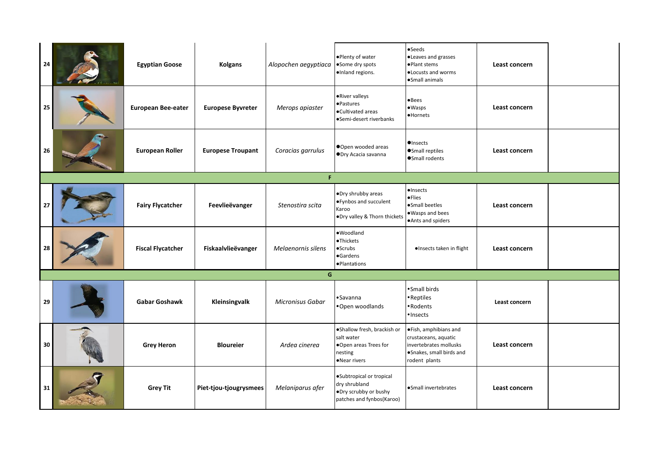| 24 | <b>Egyptian Goose</b>     | <b>Kolgans</b>           | Alopochen aegyptiaca    | .Plenty of water<br>•Some dry spots<br>·Inland regions.                                         | $\bullet$ Seeds<br>·Leaves and grasses<br>·Plant stems<br>. Locusts and worms<br>·Small animals                      | Least concern |  |
|----|---------------------------|--------------------------|-------------------------|-------------------------------------------------------------------------------------------------|----------------------------------------------------------------------------------------------------------------------|---------------|--|
| 25 | <b>European Bee-eater</b> | <b>Europese Byvreter</b> | Merops apiaster         | •River valleys<br>·Pastures<br>•Cultivated areas<br>•Semi-desert riverbanks                     | $\bullet$ Bees<br>$• W$ asps<br>·Hornets                                                                             | Least concern |  |
| 26 | <b>European Roller</b>    | <b>Europese Troupant</b> | Coracias garrulus       | Open wooded areas<br>ODry Acacia savanna                                                        | $\bullet$ Insects<br>●Small reptiles<br>Small rodents                                                                | Least concern |  |
|    |                           |                          | F                       |                                                                                                 |                                                                                                                      |               |  |
| 27 | <b>Fairy Flycatcher</b>   | Feevlieëvanger           | Stenostira scita        | ·Dry shrubby areas<br>● Fynbos and succulent<br>Karoo<br>.Dry valley & Thorn thickets           | ·Insects<br>·Flies<br>·Small beetles<br>·Wasps and bees<br>·Ants and spiders                                         | Least concern |  |
| 28 | <b>Fiscal Flycatcher</b>  | Fiskaalvlieëvanger       | Melaenornis silens      | ·Woodland<br>·Thickets<br>$•$ Scrubs<br>·Gardens<br>·Plantations                                | ·Insects taken in flight                                                                                             | Least concern |  |
|    |                           |                          | G                       |                                                                                                 |                                                                                                                      |               |  |
| 29 | Gabar Goshawk             | Kleinsingvalk            | <b>Micronisus Gabar</b> | •Savanna<br>•Open woodlands                                                                     | • Small birds<br>• Reptiles<br>• Rodents<br>· Insects                                                                | Least concern |  |
| 30 | <b>Grey Heron</b>         | <b>Bloureier</b>         | Ardea cinerea           | ·Shallow fresh, brackish or<br>salt water<br>.Open areas Trees for<br>nesting<br>•Near rivers   | ·Fish, amphibians and<br>crustaceans, aquatic<br>invertebrates mollusks<br>·Snakes, small birds and<br>rodent plants | Least concern |  |
| 31 | <b>Grey Tit</b>           | Piet-tjou-tjougrysmees   | Melaniparus afer        | ·Subtropical or tropical<br>dry shrubland<br>.Dry scrubby or bushy<br>patches and fynbos(Karoo) | ·Small invertebrates                                                                                                 | Least concern |  |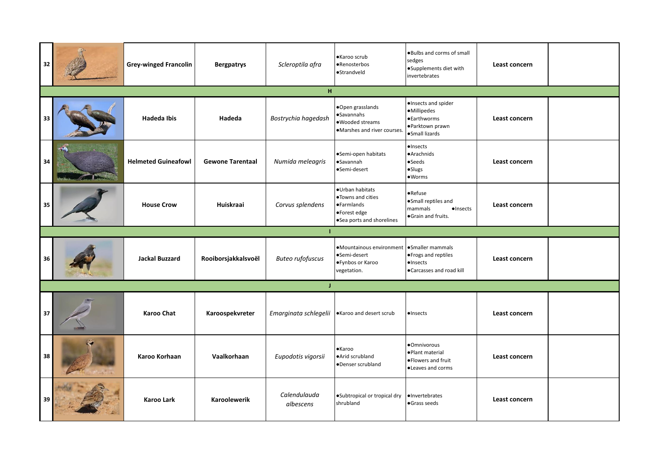| 32 |     | <b>Grey-winged Francolin</b> | <b>Bergpatrys</b>       | Scleroptila afra                              | ·Karoo scrub<br>•Renosterbos<br>·Strandveld                                                              | . Bulbs and corms of small<br>sedges<br>·Supplements diet with<br>invertebrates               | Least concern |  |  |  |  |  |
|----|-----|------------------------------|-------------------------|-----------------------------------------------|----------------------------------------------------------------------------------------------------------|-----------------------------------------------------------------------------------------------|---------------|--|--|--|--|--|
|    | H   |                              |                         |                                               |                                                                                                          |                                                                                               |               |  |  |  |  |  |
| 33 |     | <b>Hadeda Ibis</b>           | Hadeda                  | Bostrychia hagedash                           | ·Open grasslands<br>·Savannahs<br>·Wooded streams<br>·Marshes and river courses.                         | ·Insects and spider<br>·Millipedes<br><b>•Earthworms</b><br>·Parktown prawn<br>·Small lizards | Least concern |  |  |  |  |  |
| 34 | - 2 | <b>Helmeted Guineafowl</b>   | <b>Gewone Tarentaal</b> | Numida meleagris                              | •Semi-open habitats<br><b>•Savannah</b><br>•Semi-desert                                                  | ·Insects<br>·Arachnids<br>•Seeds<br>·Slugs<br>• <sub>W</sub> orms                             | Least concern |  |  |  |  |  |
| 35 |     | <b>House Crow</b>            | Huiskraai               | Corvus splendens                              | ·Urban habitats<br>. Towns and cities<br><b>•</b> Farmlands<br>•Forest edge<br>.Sea ports and shorelines | $\bullet$ Refuse<br>·Small reptiles and<br>mammals<br>$\bullet$ Insects<br>·Grain and fruits. | Least concern |  |  |  |  |  |
|    |     |                              |                         |                                               |                                                                                                          |                                                                                               |               |  |  |  |  |  |
| 36 |     | <b>Jackal Buzzard</b>        | Rooiborsjakkalsvoël     | <b>Buteo rufofuscus</b>                       | •Mountainous environment •Smaller mammals<br>•Semi-desert<br>●Fynbos or Karoo<br>vegetation.             | ● Frogs and reptiles<br>$\bullet$ Insects<br>●Carcasses and road kill                         | Least concern |  |  |  |  |  |
|    |     |                              |                         | J.                                            |                                                                                                          |                                                                                               |               |  |  |  |  |  |
| 37 |     | <b>Karoo Chat</b>            | Karoospekvreter         | Emarginata schlegelii  Karoo and desert scrub |                                                                                                          | ·Insects                                                                                      | Least concern |  |  |  |  |  |
| 38 |     | Karoo Korhaan                | Vaalkorhaan             | Eupodotis vigorsii                            | <b>•</b> Karoo<br>·Arid scrubland<br>•Denser scrubland                                                   | ·Omnivorous<br>·Plant material<br>· Flowers and fruit<br>·Leaves and corms                    | Least concern |  |  |  |  |  |
| 39 |     | Karoo Lark                   | <b>Karoolewerik</b>     | Calendulauda<br>albescens                     | . Subtropical or tropical dry<br>shrubland                                                               | ·Invertebrates<br>·Grass seeds                                                                | Least concern |  |  |  |  |  |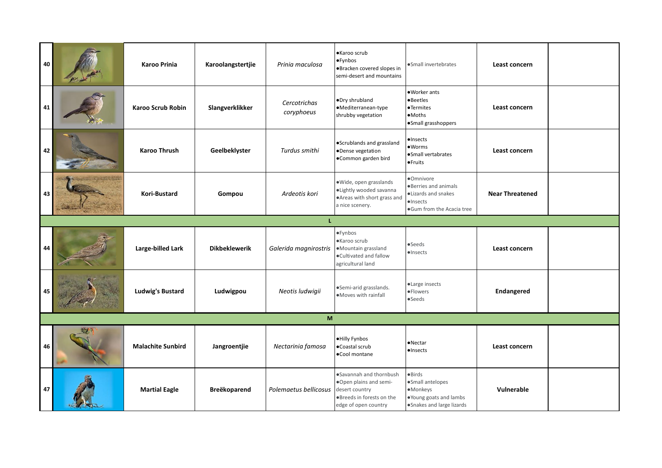| 40 | <b>Karoo Prinia</b>      | Karoolangstertjie    | Prinia maculosa            | ·Karoo scrub<br>·Fynbos<br>·Bracken covered slopes in<br>semi-desert and mountains                   | ·Small invertebrates                                                                                        | Least concern          |  |
|----|--------------------------|----------------------|----------------------------|------------------------------------------------------------------------------------------------------|-------------------------------------------------------------------------------------------------------------|------------------------|--|
| 41 | <b>Karoo Scrub Robin</b> | Slangverklikker      | Cercotrichas<br>coryphoeus | ·Dry shrubland<br>·Mediterranean-type<br>shrubby vegetation                                          | .Worker ants<br><b>•Beetles</b><br><b>•Termites</b><br>$\bullet$ Moths<br>·Small grasshoppers               | Least concern          |  |
| 42 | <b>Karoo Thrush</b>      | Geelbeklyster        | Turdus smithi              | ·Scrublands and grassland<br>·Dense vegetation<br>·Common garden bird                                | ·Insects<br>·Worms<br>·Small vertabrates<br><b>•Fruits</b>                                                  | Least concern          |  |
| 43 | Kori-Bustard             | Gompou               | Ardeotis kori              | ·Wide, open grasslands<br>·Lightly wooded savanna<br>• Areas with short grass and<br>a nice scenery. | ·Omnivore<br>. Berries and animals<br>·Lizards and snakes<br>$\bullet$ Insects<br>.Gum from the Acacia tree | <b>Near Threatened</b> |  |
|    |                          |                      | L                          |                                                                                                      |                                                                                                             |                        |  |
| 44 | Large-billed Lark        | <b>Dikbeklewerik</b> | Galerida magnirostris      | ·Fynbos<br>·Karoo scrub<br>·Mountain grassland                                                       | $\bullet$ Seeds                                                                                             | Least concern          |  |
|    |                          |                      |                            | . Cultivated and fallow<br>agricultural land                                                         | $\bullet$ Insects                                                                                           |                        |  |
| 45 | <b>Ludwig's Bustard</b>  | Ludwigpou            | Neotis ludwigii            | ·Semi-arid grasslands.<br>·Moves with rainfall                                                       | ·Large insects<br>·Flowers<br>$\bullet$ Seeds                                                               | Endangered             |  |
|    |                          |                      | M                          |                                                                                                      |                                                                                                             |                        |  |
| 46 | <b>Malachite Sunbird</b> | Jangroentjie         | Nectarinia famosa          | ·Hilly Fynbos<br>•Coastal scrub<br>·Cool montane                                                     | ·Nectar<br>·Insects                                                                                         | Least concern          |  |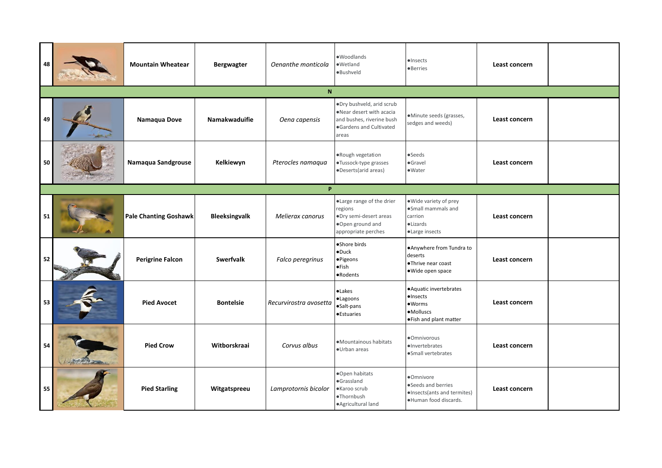| 48 |          | <b>Mountain Wheatear</b>     | <b>Bergwagter</b>    | Oenanthe monticola     | ·Woodlands<br>·Wetland<br>·Bushveld                                                                                   | $\bullet$ Insects<br><b>•Berries</b>                                                                        | Least concern |  |  |  |  |  |
|----|----------|------------------------------|----------------------|------------------------|-----------------------------------------------------------------------------------------------------------------------|-------------------------------------------------------------------------------------------------------------|---------------|--|--|--|--|--|
|    | N        |                              |                      |                        |                                                                                                                       |                                                                                                             |               |  |  |  |  |  |
| 49 |          | Namaqua Dove                 | Namakwaduifie        | Oena capensis          | ·Dry bushveld, arid scrub<br>.Near desert with acacia<br>and bushes, riverine bush<br>Gardens and Cultivated<br>areas | ·Minute seeds (grasses,<br>sedges and weeds)                                                                | Least concern |  |  |  |  |  |
| 50 |          | Namaqua Sandgrouse           | Kelkiewyn            | Pterocles namaqua      | .Rough vegetation<br>·Tussock-type grasses<br>·Deserts(arid areas)                                                    | $\bullet$ Seeds<br>·Gravel<br>$\bullet$ Water                                                               | Least concern |  |  |  |  |  |
|    | <b>P</b> |                              |                      |                        |                                                                                                                       |                                                                                                             |               |  |  |  |  |  |
| 51 |          | <b>Pale Chanting Goshawk</b> | <b>Bleeksingvalk</b> | Melierax canorus       | ·Large range of the drier<br>regions<br>·Dry semi-desert areas<br>.Open ground and<br>appropriate perches             | .Wide variety of prey<br>·Small mammals and<br>carrion<br>$\bullet$ Lizards<br>·Large insects               | Least concern |  |  |  |  |  |
| 52 |          | <b>Perigrine Falcon</b>      | <b>Swerfvalk</b>     | Falco peregrinus       | ·Shore birds<br>$\bullet$ Duck<br>·Pigeons<br>●Fish<br>•Rodents                                                       | . Anywhere from Tundra to<br>deserts<br>·Thrive near coast<br>·Wide open space                              | Least concern |  |  |  |  |  |
| 53 |          | <b>Pied Avocet</b>           | <b>Bontelsie</b>     | Recurvirostra avosetta | <b>•Lakes</b><br>·Lagoons<br>·Salt-pans<br><b>•</b> Estuaries                                                         | • Aquatic invertebrates<br>$\bullet$ Insects<br>• <sub>W</sub> orms<br>·Molluscs<br>. Fish and plant matter | Least concern |  |  |  |  |  |
| 54 |          | <b>Pied Crow</b>             | Witborskraai         | Corvus albus           | ·Mountainous habitats<br>·Urban areas                                                                                 | ·Omnivorous<br>·Invertebrates<br>·Small vertebrates                                                         | Least concern |  |  |  |  |  |
| 55 |          | <b>Pied Starling</b>         | Witgatspreeu         | Lamprotornis bicolor   | ·Open habitats<br>·Grassland<br>·Karoo scrub<br>·Thornbush<br>·Agricultural land                                      | ·Omnivore<br>·Seeds and berries<br>·Insects(ants and termites)<br>·Human food discards.                     | Least concern |  |  |  |  |  |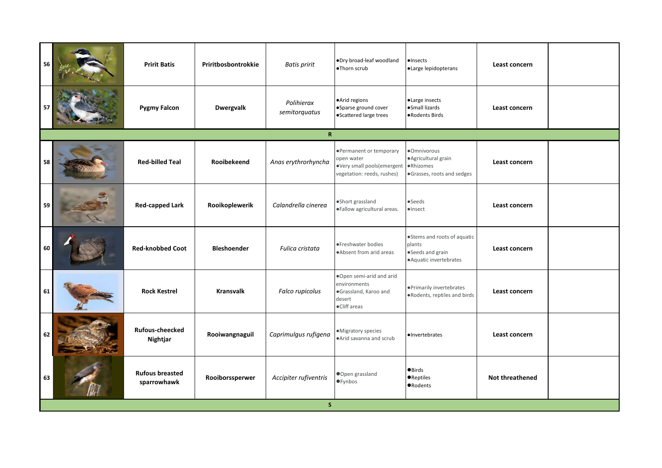| 56 | <b>Pririt Batis</b>                   | Priritbosbontrokkie | <b>Batis pririt</b>         | .Dry broad-leaf woodland<br>·Thorn scrub                                                          | ·Insects<br>·Large lepidopterans                                                    | Least concern          |  |
|----|---------------------------------------|---------------------|-----------------------------|---------------------------------------------------------------------------------------------------|-------------------------------------------------------------------------------------|------------------------|--|
|    | <b>Pygmy Falcon</b>                   | <b>Dwergvalk</b>    | Polihierax<br>semitorquatus | ·Arid regions<br>·Sparse ground cover<br>• Scattered large trees                                  | ·Large insects<br>·Small lizards<br>·Rodents Birds                                  | Least concern          |  |
|    |                                       |                     | $\mathbf R$                 |                                                                                                   |                                                                                     |                        |  |
| 58 | <b>Red-billed Teal</b>                | Rooibekeend         | Anas erythrorhyncha         | •Permanent or temporary<br>open water<br>·Very small pools(emergent<br>vegetation: reeds, rushes) | ·Omnivorous<br>· Agricultural grain<br>·Rhizomes<br>·Grasses, roots and sedges      | Least concern          |  |
| 59 | <b>Red-capped Lark</b>                | Rooikoplewerik      | Calandrella cinerea         | ·Short grassland<br>· Fallow agricultural areas.                                                  | •Seeds<br>$\bullet$ Insect                                                          | Least concern          |  |
| 60 | <b>Red-knobbed Coot</b>               | <b>Bleshoender</b>  | Fulica cristata             | ·Freshwater bodies<br>.Absent from arid areas                                                     | ·Stems and roots of aquatic<br>plants<br>·Seeds and grain<br>·Aquatic invertebrates | Least concern          |  |
| 61 | <b>Rock Kestrel</b>                   | <b>Kransvalk</b>    | Falco rupicolus             | .Open semi-arid and arid<br>environments<br>·Grassland, Karoo and<br>desert<br>•Cliff areas       | ·Primarily invertebrates<br>. Rodents, reptiles and birds                           | Least concern          |  |
| 62 | <b>Rufous-cheecked</b><br>Nightjar    | Rooiwangnaguil      | Caprimulgus rufigena        | •Migratory species<br>·Arid savanna and scrub                                                     | ·Invertebrates                                                                      | Least concern          |  |
| 63 | <b>Rufous breasted</b><br>sparrowhawk | Rooiborssperwer     | Accipiter rufiventris       | ●Open grassland<br><b>•</b> Fynbos                                                                | <b>OBirds</b><br><b>•</b> Reptiles<br><b>ORodents</b>                               | <b>Not threathened</b> |  |
|    |                                       |                     | $\mathsf{s}$                |                                                                                                   |                                                                                     |                        |  |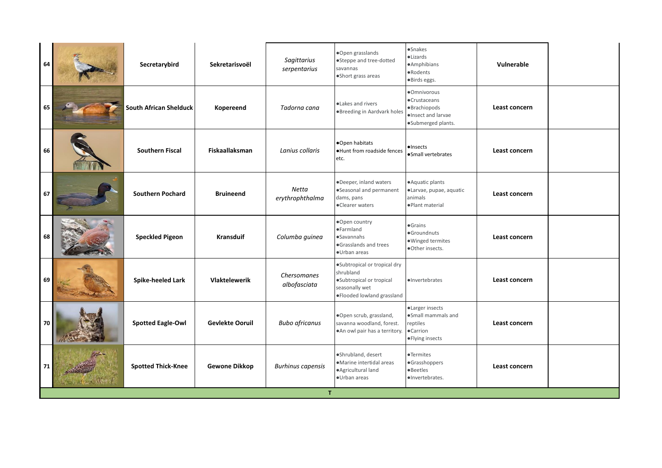|    | 64              | Secretarybird                 | Sekretarisvoël         | Sagittarius<br>serpentarius        | ·Open grasslands<br>•Steppe and tree-dotted<br>savannas<br>·Short grass areas                                          | ·Snakes<br>·Lizards<br>·Amphibians<br>·Rodents<br>·Birds eggs.                           | Vulnerable    |  |
|----|-----------------|-------------------------------|------------------------|------------------------------------|------------------------------------------------------------------------------------------------------------------------|------------------------------------------------------------------------------------------|---------------|--|
|    | 65              | <b>South African Shelduck</b> | Kopereend              | Tadorna cana                       | ·Lakes and rivers<br><b>Breeding in Aardvark holes</b>                                                                 | ·Omnivorous<br>·Crustaceans<br>·Brachiopods<br>·Insect and larvae<br>·Submerged plants.  | Least concern |  |
|    | 66              | <b>Southern Fiscal</b>        | <b>Fiskaallaksman</b>  | Lanius collaris                    | ●Open habitats<br>. Hunt from roadside fences<br>etc.                                                                  | ·Insects<br>·Small vertebrates                                                           | Least concern |  |
|    | 67              | <b>Southern Pochard</b>       | <b>Bruineend</b>       | <b>Netta</b><br>erythrophthalma    | ·Deeper, inland waters<br>·Seasonal and permanent<br>dams, pans<br>•Clearer waters                                     | ·Aquatic plants<br>·Larvae, pupae, aquatic<br>animals<br>·Plant material                 | Least concern |  |
|    | 68              | <b>Speckled Pigeon</b>        | <b>Kransduif</b>       | Columba guinea                     | ·Open country<br>·Farmland<br>·Savannahs<br>·Grasslands and trees<br>·Urban areas                                      | <b>•Grains</b><br>·Groundnuts<br>·Winged termites<br>·Other insects.                     | Least concern |  |
|    | 69              | Spike-heeled Lark             | Vlaktelewerik          | <b>Chersomanes</b><br>albofasciata | ·Subtropical or tropical dry<br>shrubland<br>·Subtropical or tropical<br>seasonally wet<br>· Flooded lowland grassland | ·Invertebrates                                                                           | Least concern |  |
|    | 70              | <b>Spotted Eagle-Owl</b>      | <b>Gevlekte Ooruil</b> | <b>Bubo africanus</b>              | ·Open scrub, grassland,<br>savanna woodland, forest.<br>. An owl pair has a territory.                                 | ·Larger insects<br>·Small mammals and<br>reptiles<br><b>•Carrion</b><br>· Flying insects | Least concern |  |
| 71 | <b>ANGELAND</b> | <b>Spotted Thick-Knee</b>     | <b>Gewone Dikkop</b>   | <b>Burhinus capensis</b>           | ·Shrubland, desert<br>·Marine intertidal areas<br>·Agricultural land<br>·Urban areas                                   | •Termites<br>·Grasshoppers<br><b>•Beetles</b><br>·Invertebrates.                         | Least concern |  |
|    |                 |                               |                        | T                                  |                                                                                                                        |                                                                                          |               |  |